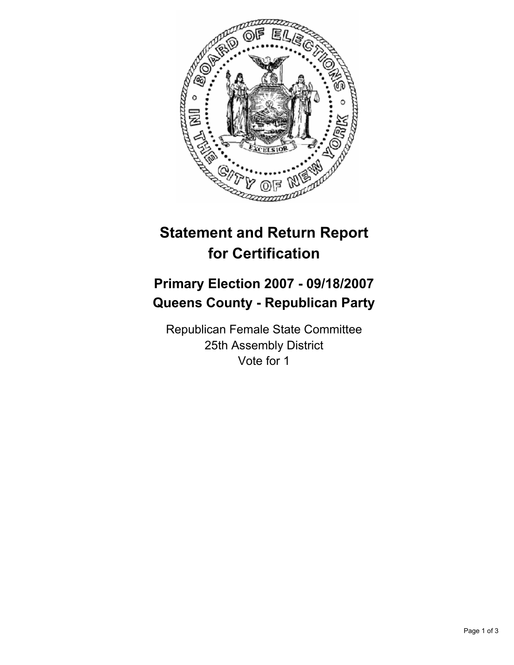

## **Statement and Return Report for Certification**

## **Primary Election 2007 - 09/18/2007 Queens County - Republican Party**

Republican Female State Committee 25th Assembly District Vote for 1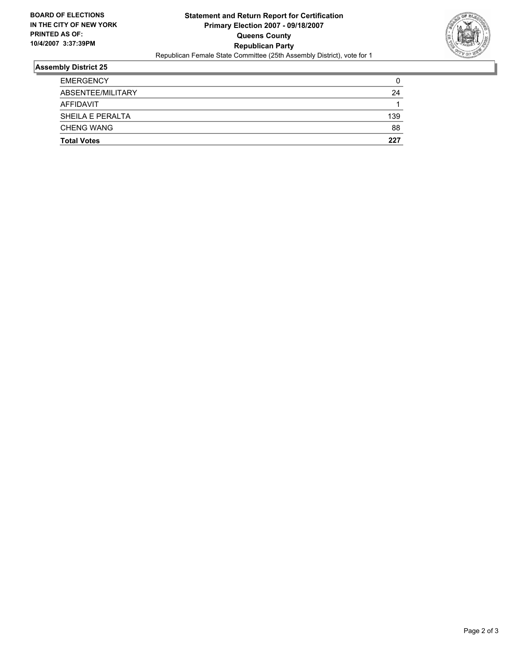

## **Assembly District 25**

| <b>EMERGENCY</b>   |     |
|--------------------|-----|
| ABSENTEE/MILITARY  | 24  |
| AFFIDAVIT          |     |
| SHEILA E PERALTA   | 139 |
| <b>CHENG WANG</b>  | 88  |
| <b>Total Votes</b> | 227 |